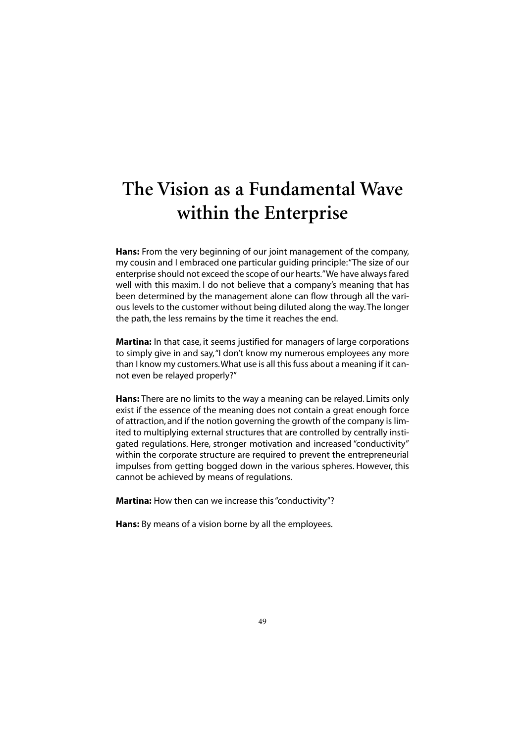## **The Vision as a Fundamental Wave within the Enterprise**

**Hans:** From the very beginning of our joint management of the company, my cousin and I embraced one particular guiding principle:"The size of our enterprise should not exceed the scope of our hearts."We have always fared well with this maxim. I do not believe that a company's meaning that has been determined by the management alone can flow through all the various levels to the customer without being diluted along the way.The longer the path, the less remains by the time it reaches the end.

**Martina:** In that case, it seems justified for managers of large corporations to simply give in and say,"I don't know my numerous employees any more than I know my customers.What use is all this fuss about a meaning if it cannot even be relayed properly?"

**Hans:** There are no limits to the way a meaning can be relayed. Limits only exist if the essence of the meaning does not contain a great enough force of attraction, and if the notion governing the growth of the company is limited to multiplying external structures that are controlled by centrally instigated regulations. Here, stronger motivation and increased "conductivity" within the corporate structure are required to prevent the entrepreneurial impulses from getting bogged down in the various spheres. However, this cannot be achieved by means of regulations.

**Martina:** How then can we increase this "conductivity"?

**Hans:** By means of a vision borne by all the employees.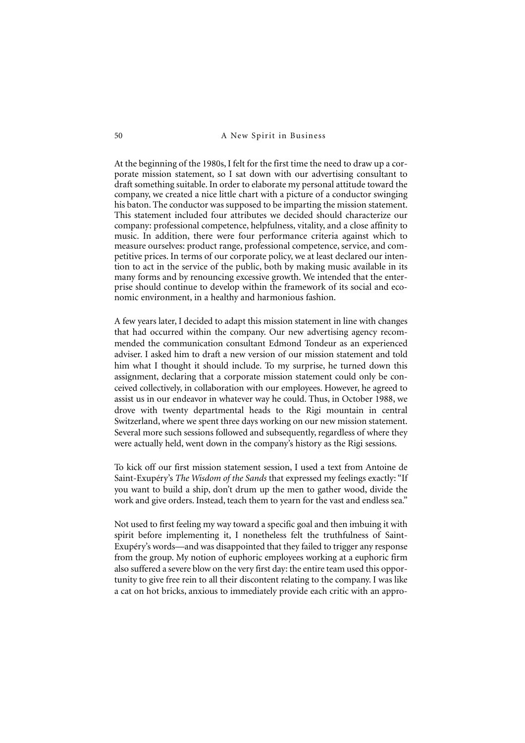At the beginning of the 1980s, I felt for the first time the need to draw up a corporate mission statement, so I sat down with our advertising consultant to draft something suitable. In order to elaborate my personal attitude toward the company, we created a nice little chart with a picture of a conductor swinging his baton. The conductor was supposed to be imparting the mission statement. This statement included four attributes we decided should characterize our company: professional competence, helpfulness, vitality, and a close affinity to music. In addition, there were four performance criteria against which to measure ourselves: product range, professional competence, service, and competitive prices. In terms of our corporate policy, we at least declared our intention to act in the service of the public, both by making music available in its many forms and by renouncing excessive growth. We intended that the enterprise should continue to develop within the framework of its social and economic environment, in a healthy and harmonious fashion.

A few years later, I decided to adapt this mission statement in line with changes that had occurred within the company. Our new advertising agency recommended the communication consultant Edmond Tondeur as an experienced adviser. I asked him to draft a new version of our mission statement and told him what I thought it should include. To my surprise, he turned down this assignment, declaring that a corporate mission statement could only be conceived collectively, in collaboration with our employees. However, he agreed to assist us in our endeavor in whatever way he could. Thus, in October 1988, we drove with twenty departmental heads to the Rigi mountain in central Switzerland, where we spent three days working on our new mission statement. Several more such sessions followed and subsequently, regardless of where they were actually held, went down in the company's history as the Rigi sessions.

To kick off our first mission statement session, I used a text from Antoine de Saint-Exupéry's *The Wisdom of the Sands* that expressed my feelings exactly: "If you want to build a ship, don't drum up the men to gather wood, divide the work and give orders. Instead, teach them to yearn for the vast and endless sea."

Not used to first feeling my way toward a specific goal and then imbuing it with spirit before implementing it, I nonetheless felt the truthfulness of Saint-Exupéry's words—and was disappointed that they failed to trigger any response from the group. My notion of euphoric employees working at a euphoric firm also suffered a severe blow on the very first day: the entire team used this opportunity to give free rein to all their discontent relating to the company. I was like a cat on hot bricks, anxious to immediately provide each critic with an appro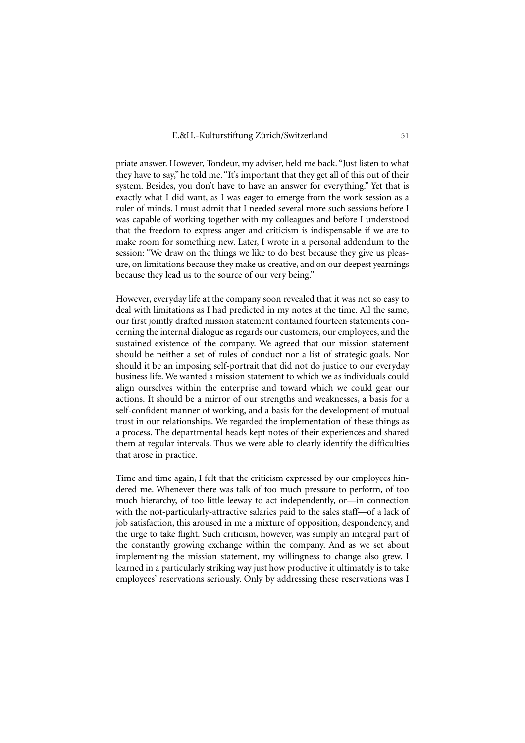priate answer. However, Tondeur, my adviser, held me back. "Just listen to what they have to say," he told me. "It's important that they get all of this out of their system. Besides, you don't have to have an answer for everything." Yet that is exactly what I did want, as I was eager to emerge from the work session as a ruler of minds. I must admit that I needed several more such sessions before I was capable of working together with my colleagues and before I understood that the freedom to express anger and criticism is indispensable if we are to make room for something new. Later, I wrote in a personal addendum to the session: "We draw on the things we like to do best because they give us pleasure, on limitations because they make us creative, and on our deepest yearnings because they lead us to the source of our very being."

However, everyday life at the company soon revealed that it was not so easy to deal with limitations as I had predicted in my notes at the time. All the same, our first jointly drafted mission statement contained fourteen statements concerning the internal dialogue as regards our customers, our employees, and the sustained existence of the company. We agreed that our mission statement should be neither a set of rules of conduct nor a list of strategic goals. Nor should it be an imposing self-portrait that did not do justice to our everyday business life. We wanted a mission statement to which we as individuals could align ourselves within the enterprise and toward which we could gear our actions. It should be a mirror of our strengths and weaknesses, a basis for a self-confident manner of working, and a basis for the development of mutual trust in our relationships. We regarded the implementation of these things as a process. The departmental heads kept notes of their experiences and shared them at regular intervals. Thus we were able to clearly identify the difficulties that arose in practice.

Time and time again, I felt that the criticism expressed by our employees hindered me. Whenever there was talk of too much pressure to perform, of too much hierarchy, of too little leeway to act independently, or—in connection with the not-particularly-attractive salaries paid to the sales staff—of a lack of job satisfaction, this aroused in me a mixture of opposition, despondency, and the urge to take flight. Such criticism, however, was simply an integral part of the constantly growing exchange within the company. And as we set about implementing the mission statement, my willingness to change also grew. I learned in a particularly striking way just how productive it ultimately is to take employees' reservations seriously. Only by addressing these reservations was I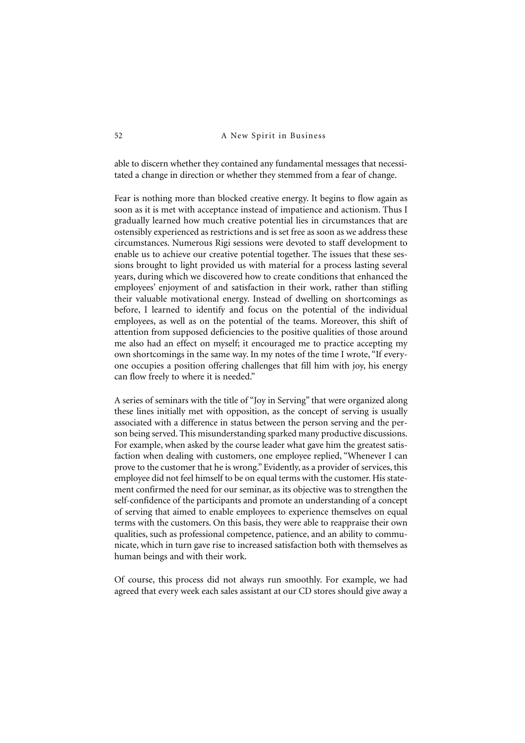able to discern whether they contained any fundamental messages that necessitated a change in direction or whether they stemmed from a fear of change.

Fear is nothing more than blocked creative energy. It begins to flow again as soon as it is met with acceptance instead of impatience and actionism. Thus I gradually learned how much creative potential lies in circumstances that are ostensibly experienced as restrictions and is set free as soon as we address these circumstances. Numerous Rigi sessions were devoted to staff development to enable us to achieve our creative potential together. The issues that these sessions brought to light provided us with material for a process lasting several years, during which we discovered how to create conditions that enhanced the employees' enjoyment of and satisfaction in their work, rather than stifling their valuable motivational energy. Instead of dwelling on shortcomings as before, I learned to identify and focus on the potential of the individual employees, as well as on the potential of the teams. Moreover, this shift of attention from supposed deficiencies to the positive qualities of those around me also had an effect on myself; it encouraged me to practice accepting my own shortcomings in the same way. In my notes of the time I wrote, "If everyone occupies a position offering challenges that fill him with joy, his energy can flow freely to where it is needed."

A series of seminars with the title of "Joy in Serving" that were organized along these lines initially met with opposition, as the concept of serving is usually associated with a difference in status between the person serving and the person being served. This misunderstanding sparked many productive discussions. For example, when asked by the course leader what gave him the greatest satisfaction when dealing with customers, one employee replied, "Whenever I can prove to the customer that he is wrong." Evidently, as a provider of services, this employee did not feel himself to be on equal terms with the customer. His statement confirmed the need for our seminar, as its objective was to strengthen the self-confidence of the participants and promote an understanding of a concept of serving that aimed to enable employees to experience themselves on equal terms with the customers. On this basis, they were able to reappraise their own qualities, such as professional competence, patience, and an ability to communicate, which in turn gave rise to increased satisfaction both with themselves as human beings and with their work.

Of course, this process did not always run smoothly. For example, we had agreed that every week each sales assistant at our CD stores should give away a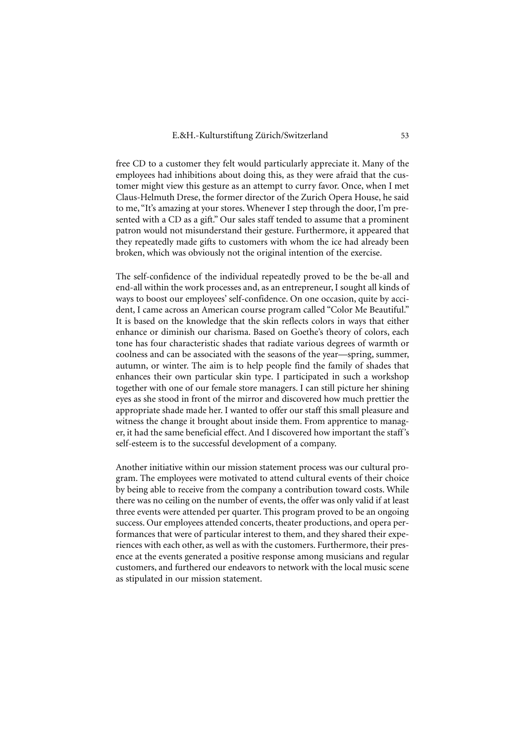free CD to a customer they felt would particularly appreciate it. Many of the employees had inhibitions about doing this, as they were afraid that the customer might view this gesture as an attempt to curry favor. Once, when I met Claus-Helmuth Drese, the former director of the Zurich Opera House, he said to me, "It's amazing at your stores. Whenever I step through the door, I'm presented with a CD as a gift." Our sales staff tended to assume that a prominent patron would not misunderstand their gesture. Furthermore, it appeared that they repeatedly made gifts to customers with whom the ice had already been broken, which was obviously not the original intention of the exercise.

The self-confidence of the individual repeatedly proved to be the be-all and end-all within the work processes and, as an entrepreneur, I sought all kinds of ways to boost our employees' self-confidence. On one occasion, quite by accident, I came across an American course program called "Color Me Beautiful." It is based on the knowledge that the skin reflects colors in ways that either enhance or diminish our charisma. Based on Goethe's theory of colors, each tone has four characteristic shades that radiate various degrees of warmth or coolness and can be associated with the seasons of the year—spring, summer, autumn, or winter. The aim is to help people find the family of shades that enhances their own particular skin type. I participated in such a workshop together with one of our female store managers. I can still picture her shining eyes as she stood in front of the mirror and discovered how much prettier the appropriate shade made her. I wanted to offer our staff this small pleasure and witness the change it brought about inside them. From apprentice to manager, it had the same beneficial effect. And I discovered how important the staff's self-esteem is to the successful development of a company.

Another initiative within our mission statement process was our cultural program. The employees were motivated to attend cultural events of their choice by being able to receive from the company a contribution toward costs. While there was no ceiling on the number of events, the offer was only valid if at least three events were attended per quarter. This program proved to be an ongoing success. Our employees attended concerts, theater productions, and opera performances that were of particular interest to them, and they shared their experiences with each other, as well as with the customers. Furthermore, their presence at the events generated a positive response among musicians and regular customers, and furthered our endeavors to network with the local music scene as stipulated in our mission statement.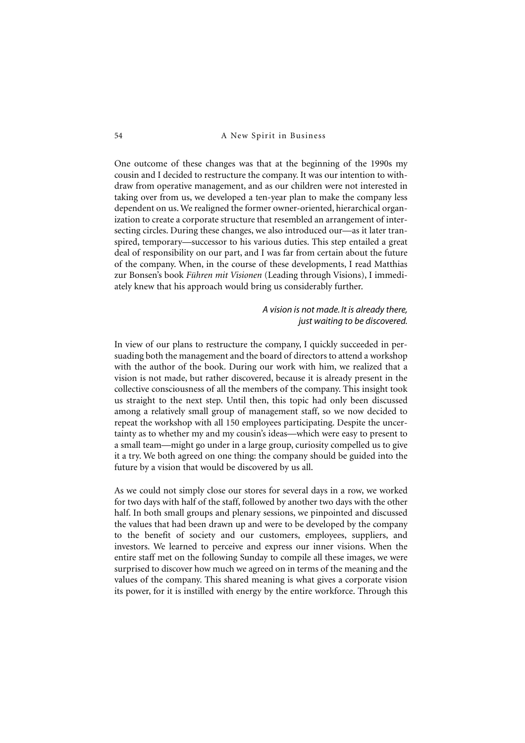One outcome of these changes was that at the beginning of the 1990s my cousin and I decided to restructure the company. It was our intention to withdraw from operative management, and as our children were not interested in taking over from us, we developed a ten-year plan to make the company less dependent on us. We realigned the former owner-oriented, hierarchical organization to create a corporate structure that resembled an arrangement of intersecting circles. During these changes, we also introduced our—as it later transpired, temporary—successor to his various duties. This step entailed a great deal of responsibility on our part, and I was far from certain about the future of the company. When, in the course of these developments, I read Matthias zur Bonsen's book *Führen mit Visionen* (Leading through Visions), I immediately knew that his approach would bring us considerably further.

## *A vision is not made. It is already there, just waiting to be discovered.*

In view of our plans to restructure the company, I quickly succeeded in persuading both the management and the board of directors to attend a workshop with the author of the book. During our work with him, we realized that a vision is not made, but rather discovered, because it is already present in the collective consciousness of all the members of the company. This insight took us straight to the next step. Until then, this topic had only been discussed among a relatively small group of management staff, so we now decided to repeat the workshop with all 150 employees participating. Despite the uncertainty as to whether my and my cousin's ideas—which were easy to present to a small team—might go under in a large group, curiosity compelled us to give it a try. We both agreed on one thing: the company should be guided into the future by a vision that would be discovered by us all.

As we could not simply close our stores for several days in a row, we worked for two days with half of the staff, followed by another two days with the other half. In both small groups and plenary sessions, we pinpointed and discussed the values that had been drawn up and were to be developed by the company to the benefit of society and our customers, employees, suppliers, and investors. We learned to perceive and express our inner visions. When the entire staff met on the following Sunday to compile all these images, we were surprised to discover how much we agreed on in terms of the meaning and the values of the company. This shared meaning is what gives a corporate vision its power, for it is instilled with energy by the entire workforce. Through this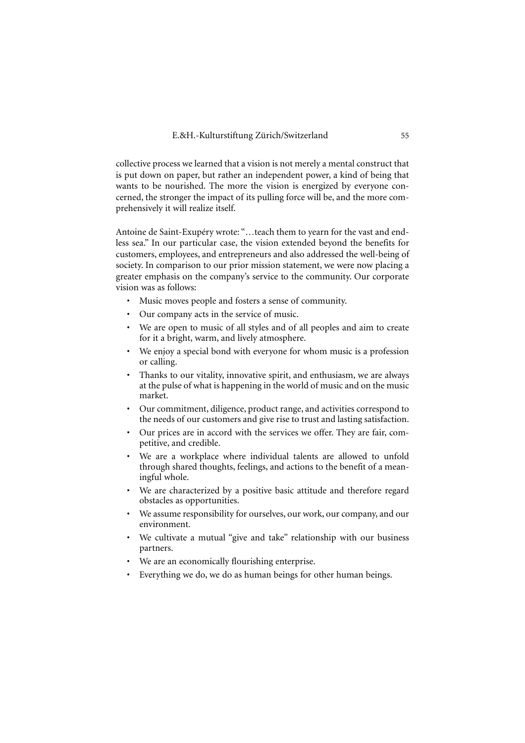collective process we learned that a vision is not merely a mental construct that is put down on paper, but rather an independent power, a kind of being that wants to be nourished. The more the vision is energized by everyone concerned, the stronger the impact of its pulling force will be, and the more comprehensively it will realize itself.

Antoine de Saint-Exupéry wrote: "…teach them to yearn for the vast and endless sea." In our particular case, the vision extended beyond the benefits for customers, employees, and entrepreneurs and also addressed the well-being of society. In comparison to our prior mission statement, we were now placing a greater emphasis on the company's service to the community. Our corporate vision was as follows:

- Music moves people and fosters a sense of community.
- Our company acts in the service of music.
- We are open to music of all styles and of all peoples and aim to create for it a bright, warm, and lively atmosphere.
- We enjoy a special bond with everyone for whom music is a profession or calling.
- Thanks to our vitality, innovative spirit, and enthusiasm, we are always at the pulse of what is happening in the world of music and on the music market.
- Our commitment, diligence, product range, and activities correspond to the needs of our customers and give rise to trust and lasting satisfaction.
- Our prices are in accord with the services we offer. They are fair, competitive, and credible.
- We are a workplace where individual talents are allowed to unfold through shared thoughts, feelings, and actions to the benefit of a meaningful whole.
- We are characterized by a positive basic attitude and therefore regard obstacles as opportunities.
- We assume responsibility for ourselves, our work, our company, and our environment.
- We cultivate a mutual "give and take" relationship with our business partners.
- We are an economically flourishing enterprise.
- Everything we do, we do as human beings for other human beings.